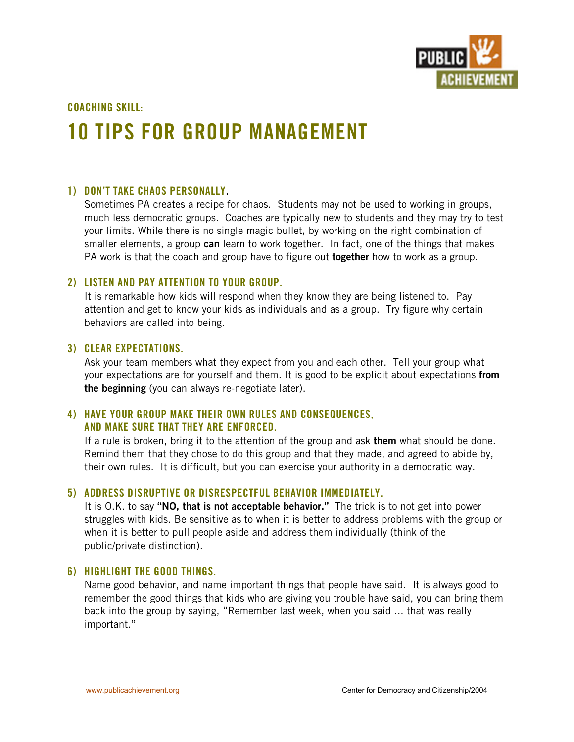

**COACHING SKILL:**

# **10 TIPS FOR GROUP MANAGEMENT**

## **1) DON'T TAKE CHAOS PERSONALLY.**

Sometimes PA creates a recipe for chaos. Students may not be used to working in groups, much less democratic groups. Coaches are typically new to students and they may try to test your limits. While there is no single magic bullet, by working on the right combination of smaller elements, a group **can** learn to work together. In fact, one of the things that makes PA work is that the coach and group have to figure out **together** how to work as a group.

## **2) LISTEN AND PAY ATTENTION TO YOUR GROUP.**

It is remarkable how kids will respond when they know they are being listened to. Pay attention and get to know your kids as individuals and as a group. Try figure why certain behaviors are called into being.

#### **3) CLEAR EXPECTATIONS.**

Ask your team members what they expect from you and each other. Tell your group what your expectations are for yourself and them. It is good to be explicit about expectations **from the beginning** (you can always re-negotiate later).

## **4) HAVE YOUR GROUP MAKE THEIR OWN RULES AND CONSEQUENCES, AND MAKE SURE THAT THEY ARE ENFORCED.**

If a rule is broken, bring it to the attention of the group and ask **them** what should be done. Remind them that they chose to do this group and that they made, and agreed to abide by, their own rules. It is difficult, but you can exercise your authority in a democratic way.

## **5) ADDRESS DISRUPTIVE OR DISRESPECTFUL BEHAVIOR IMMEDIATELY.**

It is O.K. to say **"NO, that is not acceptable behavior."** The trick is to not get into power struggles with kids. Be sensitive as to when it is better to address problems with the group or when it is better to pull people aside and address them individually (think of the public/private distinction).

#### **6) HIGHLIGHT THE GOOD THINGS.**

Name good behavior, and name important things that people have said. It is always good to remember the good things that kids who are giving you trouble have said, you can bring them back into the group by saying, "Remember last week, when you said ... that was really important."